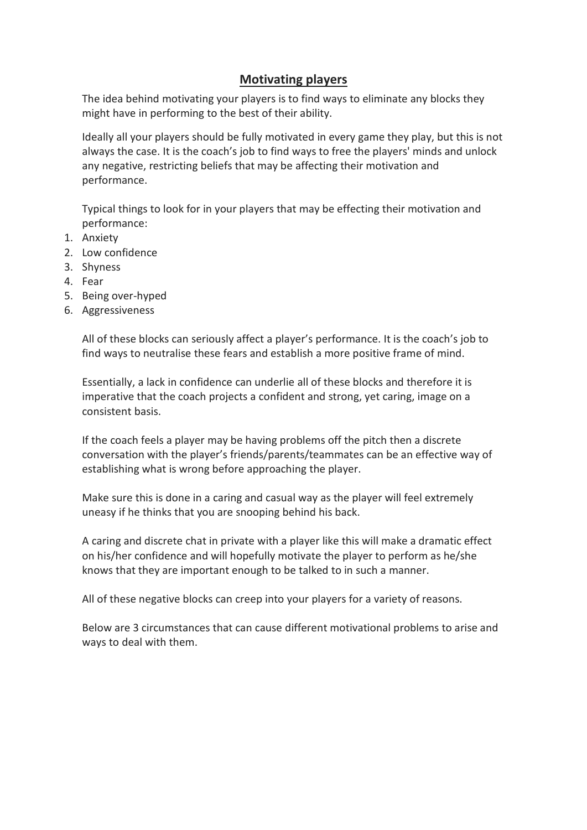# **Motivating players**

The idea behind motivating your players is to find ways to eliminate any blocks they might have in performing to the best of their ability.

Ideally all your players should be fully motivated in every game they play, but this is not always the case. It is the coach's job to find ways to free the players' minds and unlock any negative, restricting beliefs that may be affecting their motivation and performance.

Typical things to look for in your players that may be effecting their motivation and performance:

- 1. Anxiety
- 2. Low confidence
- 3. Shyness
- 4. Fear
- 5. Being over-hyped
- 6. Aggressiveness

All of these blocks can seriously affect a player's performance. It is the coach's job to find ways to neutralise these fears and establish a more positive frame of mind.

Essentially, a lack in confidence can underlie all of these blocks and therefore it is imperative that the coach projects a confident and strong, yet caring, image on a consistent basis.

If the coach feels a player may be having problems off the pitch then a discrete conversation with the player's friends/parents/teammates can be an effective way of establishing what is wrong before approaching the player.

Make sure this is done in a caring and casual way as the player will feel extremely uneasy if he thinks that you are snooping behind his back.

A caring and discrete chat in private with a player like this will make a dramatic effect on his/her confidence and will hopefully motivate the player to perform as he/she knows that they are important enough to be talked to in such a manner.

All of these negative blocks can creep into your players for a variety of reasons.

Below are 3 circumstances that can cause different motivational problems to arise and ways to deal with them.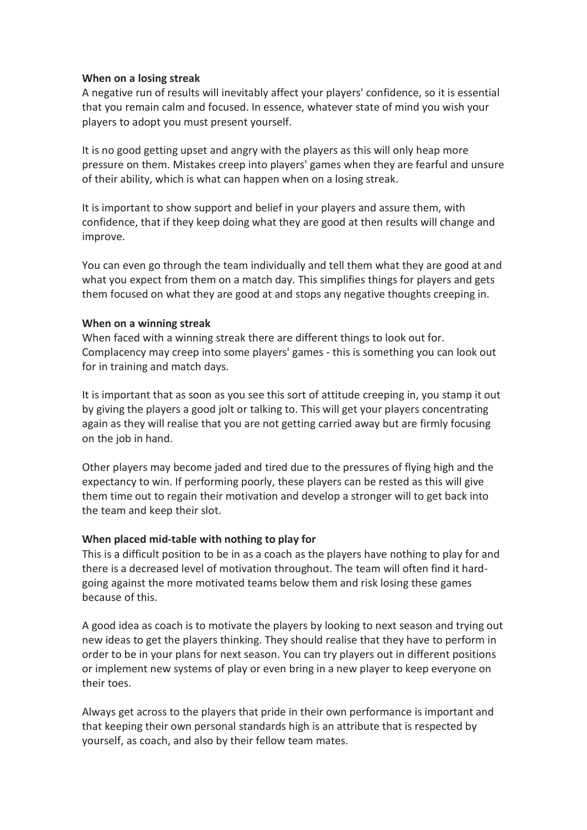## **When on a losing streak**

A negative run of results will inevitably affect your players' confidence, so it is essential that you remain calm and focused. In essence, whatever state of mind you wish your players to adopt you must present yourself.

It is no good getting upset and angry with the players as this will only heap more pressure on them. Mistakes creep into players' games when they are fearful and unsure of their ability, which is what can happen when on a losing streak.

It is important to show support and belief in your players and assure them, with confidence, that if they keep doing what they are good at then results will change and improve.

You can even go through the team individually and tell them what they are good at and what you expect from them on a match day. This simplifies things for players and gets them focused on what they are good at and stops any negative thoughts creeping in.

## **When on a winning streak**

When faced with a winning streak there are different things to look out for. Complacency may creep into some players' games - this is something you can look out for in training and match days.

It is important that as soon as you see this sort of attitude creeping in, you stamp it out by giving the players a good jolt or talking to. This will get your players concentrating again as they will realise that you are not getting carried away but are firmly focusing on the job in hand.

Other players may become jaded and tired due to the pressures of flying high and the expectancy to win. If performing poorly, these players can be rested as this will give them time out to regain their motivation and develop a stronger will to get back into the team and keep their slot.

## **When placed mid-table with nothing to play for**

This is a difficult position to be in as a coach as the players have nothing to play for and there is a decreased level of motivation throughout. The team will often find it hardgoing against the more motivated teams below them and risk losing these games because of this.

A good idea as coach is to motivate the players by looking to next season and trying out new ideas to get the players thinking. They should realise that they have to perform in order to be in your plans for next season. You can try players out in different positions or implement new systems of play or even bring in a new player to keep everyone on their toes.

Always get across to the players that pride in their own performance is important and that keeping their own personal standards high is an attribute that is respected by yourself, as coach, and also by their fellow team mates.